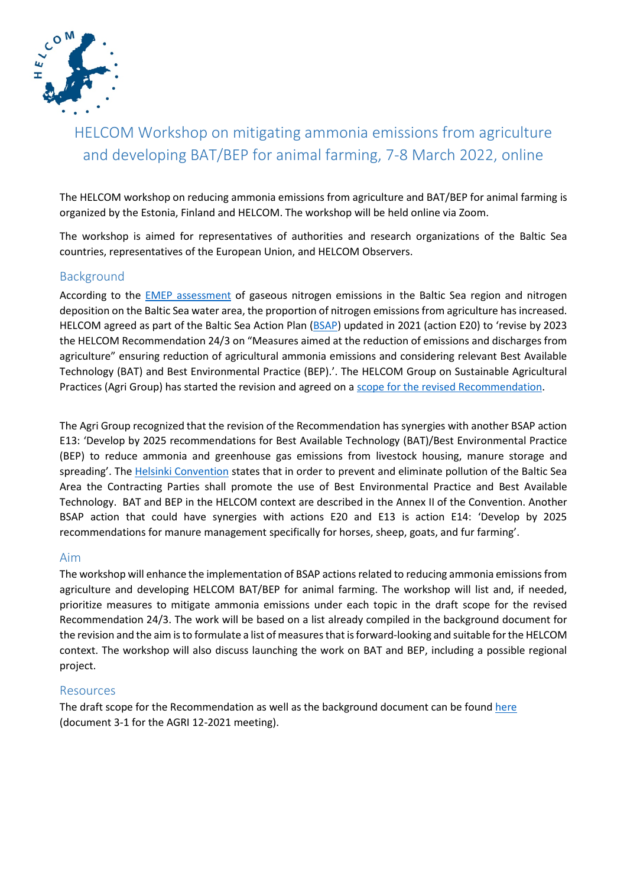

# HELCOM Workshop on mitigating ammonia emissions from agriculture and developing BAT/BEP for animal farming, 7-8 March 2022, online

The HELCOM workshop on reducing ammonia emissions from agriculture and BAT/BEP for animal farming is organized by the Estonia, Finland and HELCOM. The workshop will be held online via Zoom.

The workshop is aimed for representatives of authorities and research organizations of the Baltic Sea countries, representatives of the European Union, and HELCOM Observers.

#### Background

According to the [EMEP assessment](https://helcom.fi/wp-content/uploads/2021/12/B_BSEFS_N_dep_v2.pdf) of gaseous nitrogen emissions in the Baltic Sea region and nitrogen deposition on the Baltic Sea water area, the proportion of nitrogen emissions from agriculture has increased. HELCOM agreed as part of the Baltic Sea Action Plan [\(BSAP\)](https://helcom.fi/media/publications/Baltic-Sea-Action-Plan-2021-update.pdf) updated in 2021 (action E20) to 'revise by 2023 the HELCOM Recommendation 24/3 on "Measures aimed at the reduction of emissions and discharges from agriculture" ensuring reduction of agricultural ammonia emissions and considering relevant Best Available Technology (BAT) and Best Environmental Practice (BEP).'. The HELCOM Group on Sustainable Agricultural Practices (Agri Group) has started the revision and agreed on a [scope for the revised Recommendation.](https://portal.helcom.fi/meetings/AGRI%2012-2021-946/MeetingDocuments/3-1%20Draft%20scope%20of%20the%20HELCOM%20Recommendation%20to%20reduce%20ammonia%20emissions%20from%20agriculture.pdf)

The Agri Group recognized that the revision of the Recommendation has synergies with another BSAP action E13: 'Develop by 2025 recommendations for Best Available Technology (BAT)/Best Environmental Practice (BEP) to reduce ammonia and greenhouse gas emissions from livestock housing, manure storage and spreading'. The [Helsinki Convention](https://helcom.fi/media/publishingimages/Helsinki-Convention_July-2014.pdf) states that in order to prevent and eliminate pollution of the Baltic Sea Area the Contracting Parties shall promote the use of Best Environmental Practice and Best Available Technology. BAT and BEP in the HELCOM context are described in the Annex II of the Convention. Another BSAP action that could have synergies with actions E20 and E13 is action E14: 'Develop by 2025 recommendations for manure management specifically for horses, sheep, goats, and fur farming'.

#### Aim

The workshop will enhance the implementation of BSAP actions related to reducing ammonia emissions from agriculture and developing HELCOM BAT/BEP for animal farming. The workshop will list and, if needed, prioritize measures to mitigate ammonia emissions under each topic in the draft scope for the revised Recommendation 24/3. The work will be based on a list already compiled in the background document for the revision and the aim is to formulate a list of measures that is forward-looking and suitable for the HELCOM context. The workshop will also discuss launching the work on BAT and BEP, including a possible regional project.

#### Resources

The draft scope for the Recommendation as well as the background document can be found [here](https://portal.helcom.fi/meetings/AGRI%2012-2021-946/MeetingDocuments/3-1%20Draft%20scope%20of%20the%20HELCOM%20Recommendation%20to%20reduce%20ammonia%20emissions%20from%20agriculture.pdf) (document 3-1 for the AGRI 12-2021 meeting).